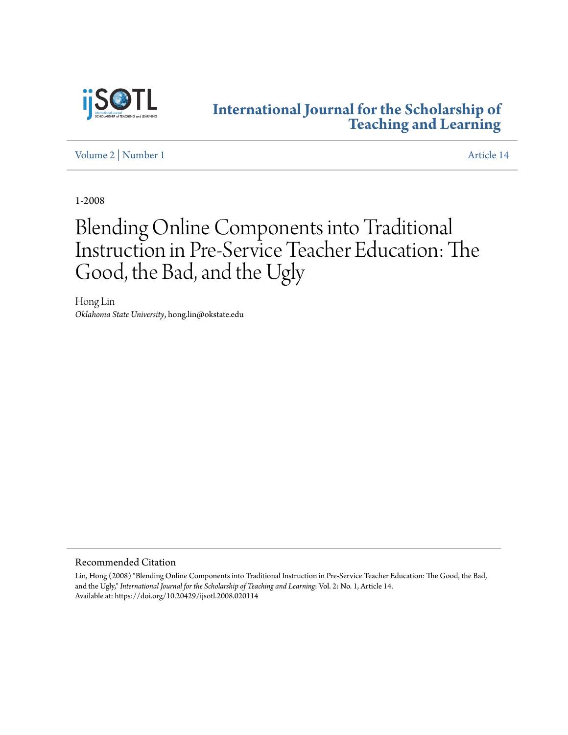

### **[International Journal for the Scholarship of](http://digitalcommons.georgiasouthern.edu/ij-sotl?utm_source=digitalcommons.georgiasouthern.edu%2Fij-sotl%2Fvol2%2Fiss1%2F14&utm_medium=PDF&utm_campaign=PDFCoverPages) [Teaching and Learning](http://digitalcommons.georgiasouthern.edu/ij-sotl?utm_source=digitalcommons.georgiasouthern.edu%2Fij-sotl%2Fvol2%2Fiss1%2F14&utm_medium=PDF&utm_campaign=PDFCoverPages)**

[Volume 2](http://digitalcommons.georgiasouthern.edu/ij-sotl/vol2?utm_source=digitalcommons.georgiasouthern.edu%2Fij-sotl%2Fvol2%2Fiss1%2F14&utm_medium=PDF&utm_campaign=PDFCoverPages) | [Number 1](http://digitalcommons.georgiasouthern.edu/ij-sotl/vol2/iss1?utm_source=digitalcommons.georgiasouthern.edu%2Fij-sotl%2Fvol2%2Fiss1%2F14&utm_medium=PDF&utm_campaign=PDFCoverPages) [Article 14](http://digitalcommons.georgiasouthern.edu/ij-sotl/vol2/iss1/14?utm_source=digitalcommons.georgiasouthern.edu%2Fij-sotl%2Fvol2%2Fiss1%2F14&utm_medium=PDF&utm_campaign=PDFCoverPages)

1-2008

# Blending Online Components into Traditional Instruction in Pre-Service Teacher Education: The Good, the Bad, and the Ugly

Hong Lin *Oklahoma State University*, hong.lin@okstate.edu

Recommended Citation

Lin, Hong (2008) "Blending Online Components into Traditional Instruction in Pre-Service Teacher Education: The Good, the Bad, and the Ugly," *International Journal for the Scholarship of Teaching and Learning*: Vol. 2: No. 1, Article 14. Available at: https://doi.org/10.20429/ijsotl.2008.020114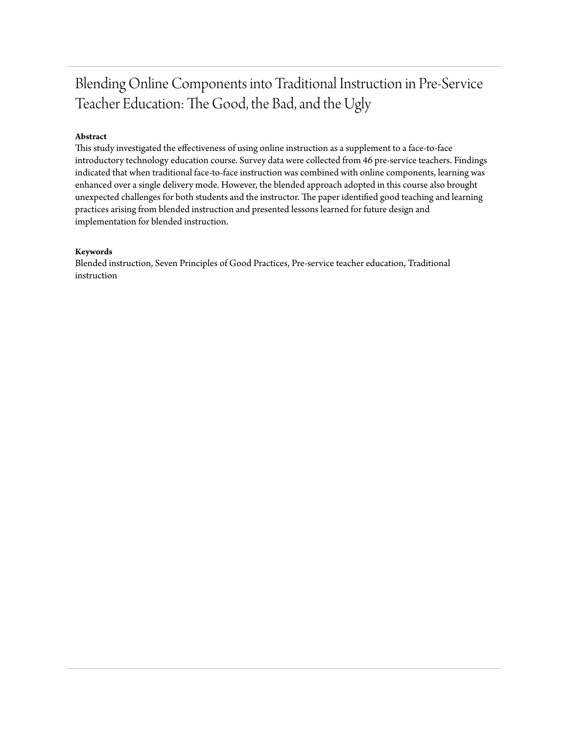## Blending Online Components into Traditional Instruction in Pre-Service Teacher Education: The Good, the Bad, and the Ugly

#### **Abstract**

This study investigated the effectiveness of using online instruction as a supplement to a face-to-face introductory technology education course. Survey data were collected from 46 pre-service teachers. Findings indicated that when traditional face-to-face instruction was combined with online components, learning was enhanced over a single delivery mode. However, the blended approach adopted in this course also brought unexpected challenges for both students and the instructor. The paper identified good teaching and learning practices arising from blended instruction and presented lessons learned for future design and implementation for blended instruction.

#### **Keywords**

Blended instruction, Seven Principles of Good Practices, Pre-service teacher education, Traditional instruction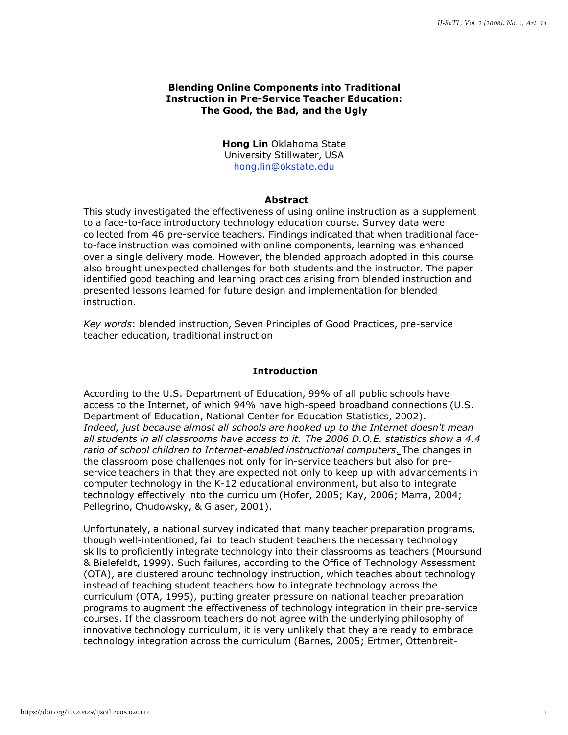#### **Blending Online Components into Traditional Instruction in Pre-Service Teacher Education: The Good, the Bad, and the Ugly**

**Hong Lin** Oklahoma State University Stillwater, USA [hong.lin@okstate.edu](mailto:hong.lin@okstate.edu)

#### **Abstract**

This study investigated the effectiveness of using online instruction as a supplement to a face-to-face introductory technology education course. Survey data were collected from 46 pre-service teachers. Findings indicated that when traditional faceto-face instruction was combined with online components, learning was enhanced over a single delivery mode. However, the blended approach adopted in this course also brought unexpected challenges for both students and the instructor. The paper identified good teaching and learning practices arising from blended instruction and presented lessons learned for future design and implementation for blended instruction.

*Key words*: blended instruction, Seven Principles of Good Practices, pre-service teacher education, traditional instruction

#### **Introduction**

According to the U.S. Department of Education, 99% of all public schools have access to the Internet, of which 94% have high-speed broadband connections (U.S. Department of Education, National Center for Education Statistics, 2002). *Indeed, just because almost all schools are hooked up to the Internet doesn't mean all students in all classrooms have access to it. The 2006 D.O.E. statistics show a 4.4 ratio of school children to Internet-enabled instructional computers*. The changes in the classroom pose challenges not only for in-service teachers but also for preservice teachers in that they are expected not only to keep up with advancements in computer technology in the K-12 educational environment, but also to integrate technology effectively into the curriculum (Hofer, 2005; Kay, 2006; Marra, 2004; Pellegrino, Chudowsky, & Glaser, 2001).

Unfortunately, a national survey indicated that many teacher preparation programs, though well-intentioned, fail to teach student teachers the necessary technology skills to proficiently integrate technology into their classrooms as teachers (Moursund & Bielefeldt, 1999). Such failures, according to the Office of Technology Assessment (OTA), are clustered around technology instruction, which teaches about technology instead of teaching student teachers how to integrate technology across the curriculum (OTA, 1995), putting greater pressure on national teacher preparation programs to augment the effectiveness of technology integration in their pre-service courses. If the classroom teachers do not agree with the underlying philosophy of innovative technology curriculum, it is very unlikely that they are ready to embrace technology integration across the curriculum (Barnes, 2005; Ertmer, Ottenbreit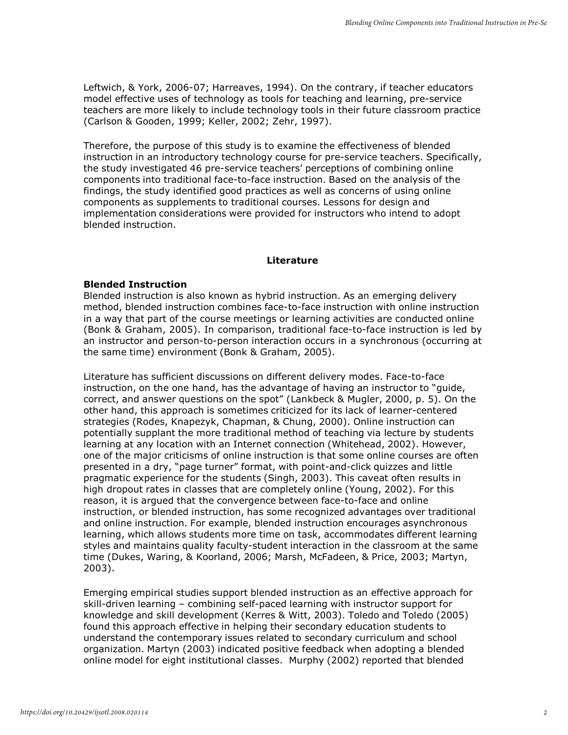Leftwich, & York, 2006-07; Harreaves, 1994). On the contrary, if teacher educators model effective uses of technology as tools for teaching and learning, pre-service teachers are more likely to include technology tools in their future classroom practice (Carlson & Gooden, 1999; Keller, 2002; Zehr, 1997).

Therefore, the purpose of this study is to examine the effectiveness of blended instruction in an introductory technology course for pre-service teachers. Specifically, the study investigated 46 pre-service teachers' perceptions of combining online components into traditional face-to-face instruction. Based on the analysis of the findings, the study identified good practices as well as concerns of using online components as supplements to traditional courses. Lessons for design and implementation considerations were provided for instructors who intend to adopt blended instruction.

#### **Literature**

#### **Blended Instruction**

Blended instruction is also known as hybrid instruction. As an emerging delivery method, blended instruction combines face-to-face instruction with online instruction in a way that part of the course meetings or learning activities are conducted online (Bonk & Graham, 2005). In comparison, traditional face-to-face instruction is led by an instructor and person-to-person interaction occurs in a synchronous (occurring at the same time) environment (Bonk & Graham, 2005).

Literature has sufficient discussions on different delivery modes. Face-to-face instruction, on the one hand, has the advantage of having an instructor to "guide, correct, and answer questions on the spot" (Lankbeck & Mugler, 2000, p. 5). On the other hand, this approach is sometimes criticized for its lack of learner-centered strategies (Rodes, Knapezyk, Chapman, & Chung, 2000). Online instruction can potentially supplant the more traditional method of teaching via lecture by students learning at any location with an Internet connection (Whitehead, 2002). However, one of the major criticisms of online instruction is that some online courses are often presented in a dry, "page turner" format, with point-and-click quizzes and little pragmatic experience for the students (Singh, 2003). This caveat often results in high dropout rates in classes that are completely online (Young, 2002). For this reason, it is argued that the convergence between face-to-face and online instruction, or blended instruction, has some recognized advantages over traditional and online instruction. For example, blended instruction encourages asynchronous learning, which allows students more time on task, accommodates different learning styles and maintains quality faculty-student interaction in the classroom at the same time (Dukes, Waring, & Koorland, 2006; Marsh, McFadeen, & Price, 2003; Martyn, 2003).

Emerging empirical studies support blended instruction as an effective approach for skill-driven learning – combining self-paced learning with instructor support for knowledge and skill development (Kerres & Witt, 2003). Toledo and Toledo (2005) found this approach effective in helping their secondary education students to understand the contemporary issues related to secondary curriculum and school organization. Martyn (2003) indicated positive feedback when adopting a blended online model for eight institutional classes. Murphy (2002) reported that blended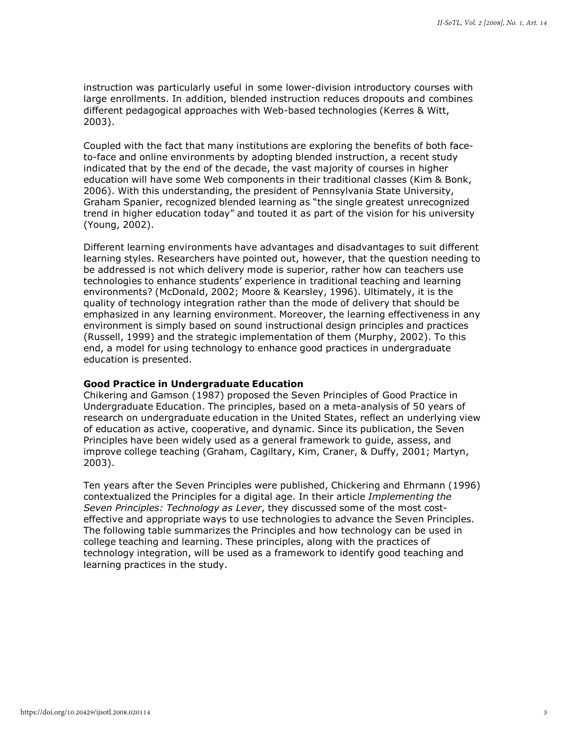instruction was particularly useful in some lower-division introductory courses with large enrollments. In addition, blended instruction reduces dropouts and combines different pedagogical approaches with Web-based technologies (Kerres & Witt, 2003).

Coupled with the fact that many institutions are exploring the benefits of both faceto-face and online environments by adopting blended instruction, a recent study indicated that by the end of the decade, the vast majority of courses in higher education will have some Web components in their traditional classes (Kim & Bonk, 2006). With this understanding, the president of Pennsylvania State University, Graham Spanier, recognized blended learning as "the single greatest unrecognized trend in higher education today" and touted it as part of the vision for his university (Young, 2002).

Different learning environments have advantages and disadvantages to suit different learning styles. Researchers have pointed out, however, that the question needing to be addressed is not which delivery mode is superior, rather how can teachers use technologies to enhance students' experience in traditional teaching and learning environments? (McDonald, 2002; Moore & Kearsley, 1996). Ultimately, it is the quality of technology integration rather than the mode of delivery that should be emphasized in any learning environment. Moreover, the learning effectiveness in any environment is simply based on sound instructional design principles and practices (Russell, 1999) and the strategic implementation of them (Murphy, 2002). To this end, a model for using technology to enhance good practices in undergraduate education is presented.

#### **Good Practice in Undergraduate Education**

Chikering and Gamson (1987) proposed the Seven Principles of Good Practice in Undergraduate Education. The principles, based on a meta-analysis of 50 years of research on undergraduate education in the United States, reflect an underlying view of education as active, cooperative, and dynamic. Since its publication, the Seven Principles have been widely used as a general framework to guide, assess, and improve college teaching (Graham, Cagiltary, Kim, Craner, & Duffy, 2001; Martyn, 2003).

Ten years after the Seven Principles were published, Chickering and Ehrmann (1996) contextualized the Principles for a digital age. In their article *Implementing the Seven Principles: Technology as Lever*, they discussed some of the most costeffective and appropriate ways to use technologies to advance the Seven Principles. The following table summarizes the Principles and how technology can be used in college teaching and learning. These principles, along with the practices of technology integration, will be used as a framework to identify good teaching and learning practices in the study.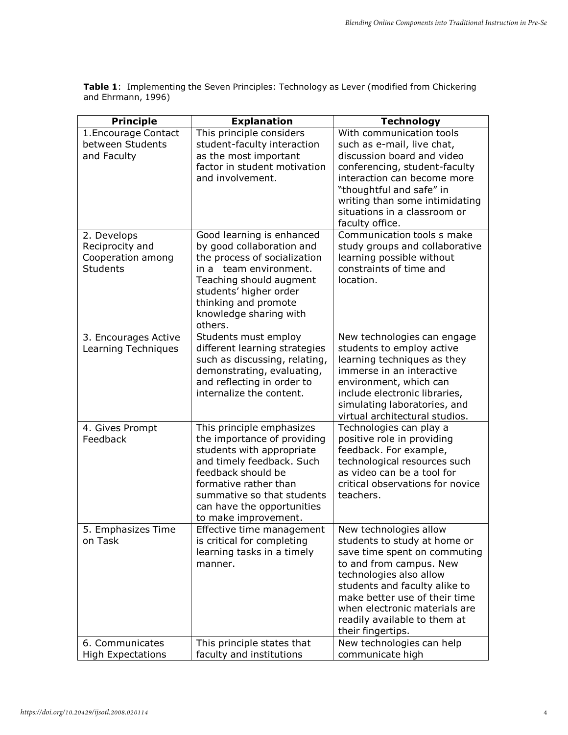**Table 1**: Implementing the Seven Principles: Technology as Lever (modified from Chickering and Ehrmann, 1996)

| <b>Principle</b>                                                       | <b>Explanation</b>                                                                                                                                                                                                                                    | <b>Technology</b>                                                                                                                                                                                                                                                                                    |
|------------------------------------------------------------------------|-------------------------------------------------------------------------------------------------------------------------------------------------------------------------------------------------------------------------------------------------------|------------------------------------------------------------------------------------------------------------------------------------------------------------------------------------------------------------------------------------------------------------------------------------------------------|
| 1. Encourage Contact<br>between Students<br>and Faculty                | This principle considers<br>student-faculty interaction<br>as the most important<br>factor in student motivation<br>and involvement.                                                                                                                  | With communication tools<br>such as e-mail, live chat,<br>discussion board and video<br>conferencing, student-faculty<br>interaction can become more<br>"thoughtful and safe" in<br>writing than some intimidating<br>situations in a classroom or<br>faculty office.                                |
| 2. Develops<br>Reciprocity and<br>Cooperation among<br><b>Students</b> | Good learning is enhanced<br>by good collaboration and<br>the process of socialization<br>in a team environment.<br>Teaching should augment<br>students' higher order<br>thinking and promote<br>knowledge sharing with<br>others.                    | Communication tools s make<br>study groups and collaborative<br>learning possible without<br>constraints of time and<br>location.                                                                                                                                                                    |
| 3. Encourages Active<br>Learning Techniques                            | Students must employ<br>different learning strategies<br>such as discussing, relating,<br>demonstrating, evaluating,<br>and reflecting in order to<br>internalize the content.                                                                        | New technologies can engage<br>students to employ active<br>learning techniques as they<br>immerse in an interactive<br>environment, which can<br>include electronic libraries,<br>simulating laboratories, and<br>virtual architectural studios.                                                    |
| 4. Gives Prompt<br>Feedback                                            | This principle emphasizes<br>the importance of providing<br>students with appropriate<br>and timely feedback. Such<br>feedback should be<br>formative rather than<br>summative so that students<br>can have the opportunities<br>to make improvement. | Technologies can play a<br>positive role in providing<br>feedback. For example,<br>technological resources such<br>as video can be a tool for<br>critical observations for novice<br>teachers.                                                                                                       |
| 5. Emphasizes Time<br>on Task                                          | Effective time management<br>is critical for completing<br>learning tasks in a timely<br>manner.                                                                                                                                                      | New technologies allow<br>students to study at home or<br>save time spent on commuting<br>to and from campus. New<br>technologies also allow<br>students and faculty alike to<br>make better use of their time<br>when electronic materials are<br>readily available to them at<br>their fingertips. |
| 6. Communicates<br><b>High Expectations</b>                            | This principle states that<br>faculty and institutions                                                                                                                                                                                                | New technologies can help<br>communicate high                                                                                                                                                                                                                                                        |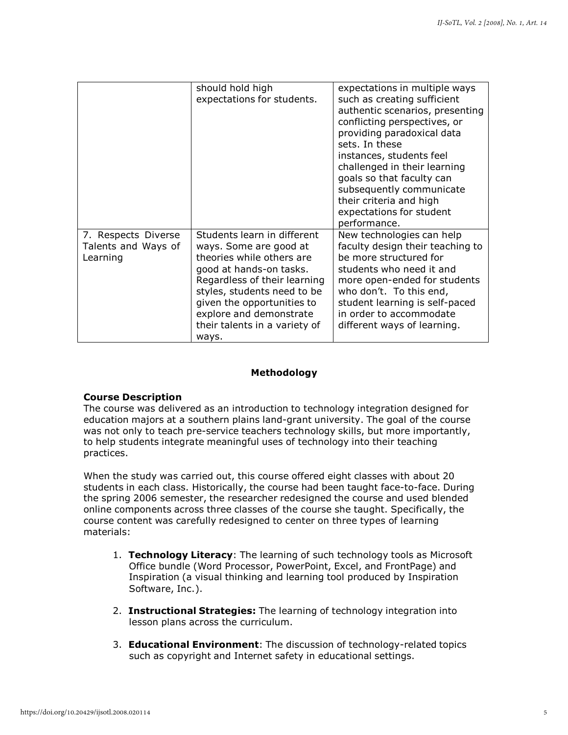|                                                        | should hold high<br>expectations for students.                                                                                                                                                                                                                                  | expectations in multiple ways<br>such as creating sufficient<br>authentic scenarios, presenting<br>conflicting perspectives, or<br>providing paradoxical data<br>sets. In these<br>instances, students feel<br>challenged in their learning<br>goals so that faculty can<br>subsequently communicate<br>their criteria and high<br>expectations for student<br>performance. |
|--------------------------------------------------------|---------------------------------------------------------------------------------------------------------------------------------------------------------------------------------------------------------------------------------------------------------------------------------|-----------------------------------------------------------------------------------------------------------------------------------------------------------------------------------------------------------------------------------------------------------------------------------------------------------------------------------------------------------------------------|
| 7. Respects Diverse<br>Talents and Ways of<br>Learning | Students learn in different<br>ways. Some are good at<br>theories while others are<br>good at hands-on tasks.<br>Regardless of their learning<br>styles, students need to be<br>given the opportunities to<br>explore and demonstrate<br>their talents in a variety of<br>ways. | New technologies can help<br>faculty design their teaching to<br>be more structured for<br>students who need it and<br>more open-ended for students<br>who don't. To this end,<br>student learning is self-paced<br>in order to accommodate<br>different ways of learning.                                                                                                  |

#### **Methodology**

#### **Course Description**

The course was delivered as an introduction to technology integration designed for education majors at a southern plains land-grant university. The goal of the course was not only to teach pre-service teachers technology skills, but more importantly, to help students integrate meaningful uses of technology into their teaching practices.

When the study was carried out, this course offered eight classes with about 20 students in each class. Historically, the course had been taught face-to-face. During the spring 2006 semester, the researcher redesigned the course and used blended online components across three classes of the course she taught. Specifically, the course content was carefully redesigned to center on three types of learning materials:

- 1. **Technology Literacy**: The learning of such technology tools as Microsoft Office bundle (Word Processor, PowerPoint, Excel, and FrontPage) and Inspiration (a visual thinking and learning tool produced by Inspiration Software, Inc.).
- 2. **Instructional Strategies:** The learning of technology integration into lesson plans across the curriculum.
- 3. **Educational Environment**: The discussion of technology-related topics such as copyright and Internet safety in educational settings.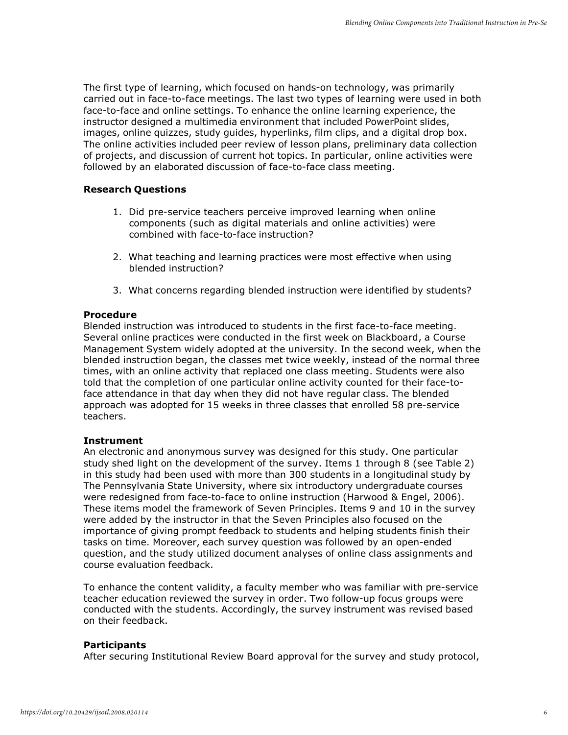The first type of learning, which focused on hands-on technology, was primarily carried out in face-to-face meetings. The last two types of learning were used in both face-to-face and online settings. To enhance the online learning experience, the instructor designed a multimedia environment that included PowerPoint slides, images, online quizzes, study guides, hyperlinks, film clips, and a digital drop box. The online activities included peer review of lesson plans, preliminary data collection of projects, and discussion of current hot topics. In particular, online activities were followed by an elaborated discussion of face-to-face class meeting.

#### **Research Questions**

- 1. Did pre-service teachers perceive improved learning when online components (such as digital materials and online activities) were combined with face-to-face instruction?
- 2. What teaching and learning practices were most effective when using blended instruction?
- 3. What concerns regarding blended instruction were identified by students?

#### **Procedure**

Blended instruction was introduced to students in the first face-to-face meeting. Several online practices were conducted in the first week on Blackboard, a Course Management System widely adopted at the university. In the second week, when the blended instruction began, the classes met twice weekly, instead of the normal three times, with an online activity that replaced one class meeting. Students were also told that the completion of one particular online activity counted for their face-toface attendance in that day when they did not have regular class. The blended approach was adopted for 15 weeks in three classes that enrolled 58 pre-service teachers.

#### **Instrument**

An electronic and anonymous survey was designed for this study. One particular study shed light on the development of the survey. Items 1 through 8 (see Table 2) in this study had been used with more than 300 students in a longitudinal study by The Pennsylvania State University, where six introductory undergraduate courses were redesigned from face-to-face to online instruction (Harwood & Engel, 2006). These items model the framework of Seven Principles. Items 9 and 10 in the survey were added by the instructor in that the Seven Principles also focused on the importance of giving prompt feedback to students and helping students finish their tasks on time. Moreover, each survey question was followed by an open-ended question, and the study utilized document analyses of online class assignments and course evaluation feedback.

To enhance the content validity, a faculty member who was familiar with pre-service teacher education reviewed the survey in order. Two follow-up focus groups were conducted with the students. Accordingly, the survey instrument was revised based on their feedback.

#### **Participants**

After securing Institutional Review Board approval for the survey and study protocol,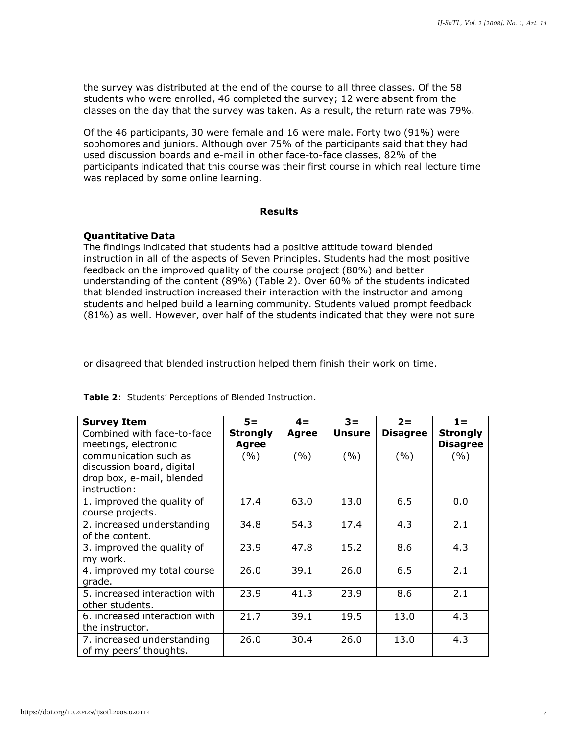the survey was distributed at the end of the course to all three classes. Of the 58 students who were enrolled, 46 completed the survey; 12 were absent from the classes on the day that the survey was taken. As a result, the return rate was 79%.

Of the 46 participants, 30 were female and 16 were male. Forty two (91%) were sophomores and juniors. Although over 75% of the participants said that they had used discussion boards and e-mail in other face-to-face classes, 82% of the participants indicated that this course was their first course in which real lecture time was replaced by some online learning.

#### **Results**

#### **Quantitative Data**

The findings indicated that students had a positive attitude toward blended instruction in all of the aspects of Seven Principles. Students had the most positive feedback on the improved quality of the course project (80%) and better understanding of the content (89%) (Table 2). Over 60% of the students indicated that blended instruction increased their interaction with the instructor and among students and helped build a learning community. Students valued prompt feedback (81%) as well. However, over half of the students indicated that they were not sure

or disagreed that blended instruction helped them finish their work on time.

| <b>Survey Item</b>                            | $5 =$           | $4 =$        | $3 =$         | $2 =$           | $1 =$                  |
|-----------------------------------------------|-----------------|--------------|---------------|-----------------|------------------------|
| Combined with face-to-face                    | <b>Strongly</b> | <b>Agree</b> | <b>Unsure</b> | <b>Disagree</b> | <b>Strongly</b>        |
| meetings, electronic<br>communication such as | Agree<br>(%)    | (9/0)        | (9/0)         | (%)             | <b>Disagree</b><br>(%) |
| discussion board, digital                     |                 |              |               |                 |                        |
| drop box, e-mail, blended                     |                 |              |               |                 |                        |
| instruction:                                  |                 |              |               |                 |                        |
| 1. improved the quality of                    | 17.4            | 63.0         | 13.0          | 6.5             | 0.0                    |
| course projects.                              |                 |              |               |                 |                        |
| 2. increased understanding                    | 34.8            | 54.3         | 17.4          | 4.3             | 2.1                    |
| of the content.                               |                 |              |               |                 |                        |
| 3. improved the quality of                    | 23.9            | 47.8         | 15.2          | 8.6             | 4.3                    |
| my work.                                      |                 |              |               |                 |                        |
| 4. improved my total course                   | 26.0            | 39.1         | 26.0          | 6.5             | 2.1                    |
| grade.                                        |                 |              |               |                 |                        |
| 5. increased interaction with                 | 23.9            | 41.3         | 23.9          | 8.6             | 2.1                    |
| other students.                               |                 |              |               |                 |                        |
| 6. increased interaction with                 | 21.7            | 39.1         | 19.5          | 13.0            | 4.3                    |
| the instructor.                               |                 |              |               |                 |                        |
| 7. increased understanding                    | 26.0            | 30.4         | 26.0          | 13.0            | 4.3                    |
| of my peers' thoughts.                        |                 |              |               |                 |                        |

**Table 2**: Students' Perceptions of Blended Instruction.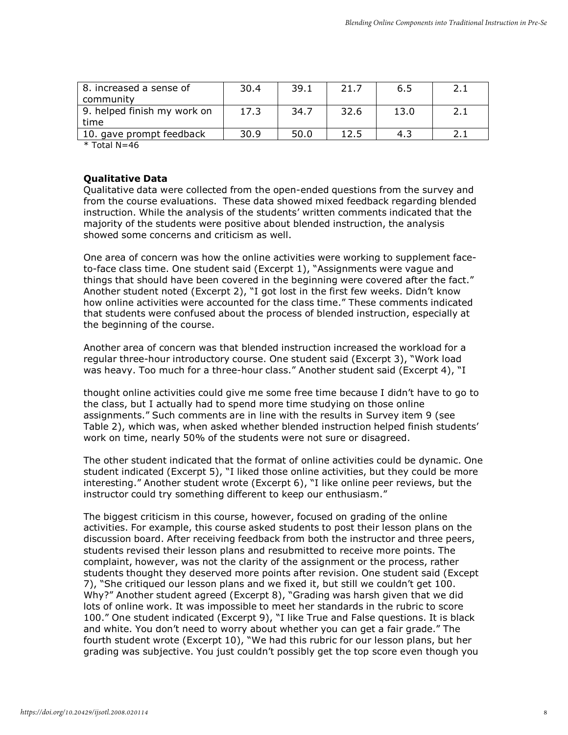| 8. increased a sense of<br>community | 30.4 | 39.1 | 21.7 | 6.5  |  |
|--------------------------------------|------|------|------|------|--|
| 9. helped finish my work on<br>time  | 17.3 | 34.7 | 32.6 | 13.0 |  |
| 10. gave prompt feedback             | 30.9 | 50.0 | 12.5 | 4.5  |  |

 $*$  Total N=46

#### **Qualitative Data**

Qualitative data were collected from the open-ended questions from the survey and from the course evaluations. These data showed mixed feedback regarding blended instruction. While the analysis of the students' written comments indicated that the majority of the students were positive about blended instruction, the analysis showed some concerns and criticism as well.

One area of concern was how the online activities were working to supplement faceto-face class time. One student said (Excerpt 1), "Assignments were vague and things that should have been covered in the beginning were covered after the fact." Another student noted (Excerpt 2), "I got lost in the first few weeks. Didn't know how online activities were accounted for the class time." These comments indicated that students were confused about the process of blended instruction, especially at the beginning of the course.

Another area of concern was that blended instruction increased the workload for a regular three-hour introductory course. One student said (Excerpt 3), "Work load was heavy. Too much for a three-hour class." Another student said (Excerpt 4), "I

thought online activities could give me some free time because I didn't have to go to the class, but I actually had to spend more time studying on those online assignments." Such comments are in line with the results in Survey item 9 (see Table 2), which was, when asked whether blended instruction helped finish students' work on time, nearly 50% of the students were not sure or disagreed.

The other student indicated that the format of online activities could be dynamic. One student indicated (Excerpt 5), "I liked those online activities, but they could be more interesting." Another student wrote (Excerpt 6), "I like online peer reviews, but the instructor could try something different to keep our enthusiasm."

The biggest criticism in this course, however, focused on grading of the online activities. For example, this course asked students to post their lesson plans on the discussion board. After receiving feedback from both the instructor and three peers, students revised their lesson plans and resubmitted to receive more points. The complaint, however, was not the clarity of the assignment or the process, rather students thought they deserved more points after revision. One student said (Except 7), "She critiqued our lesson plans and we fixed it, but still we couldn't get 100. Why?" Another student agreed (Excerpt 8), "Grading was harsh given that we did lots of online work. It was impossible to meet her standards in the rubric to score 100." One student indicated (Excerpt 9), "I like True and False questions. It is black and white. You don't need to worry about whether you can get a fair grade." The fourth student wrote (Excerpt 10), "We had this rubric for our lesson plans, but her grading was subjective. You just couldn't possibly get the top score even though you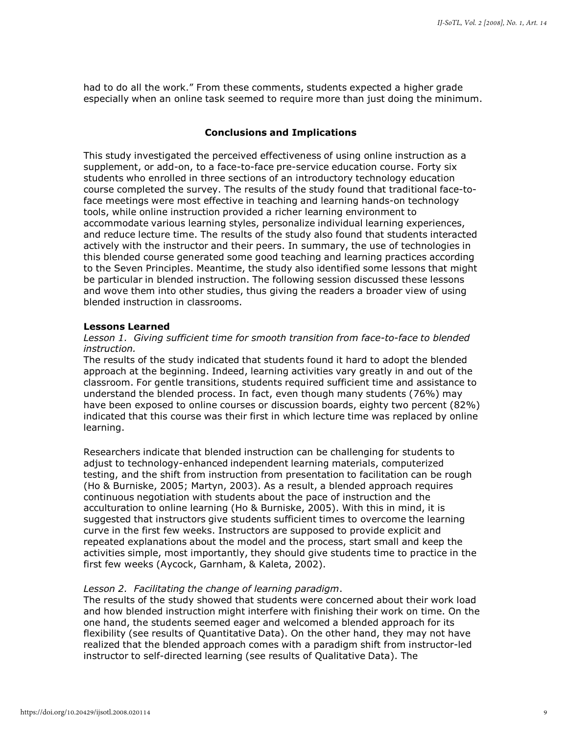had to do all the work." From these comments, students expected a higher grade especially when an online task seemed to require more than just doing the minimum.

#### **Conclusions and Implications**

This study investigated the perceived effectiveness of using online instruction as a supplement, or add-on, to a face-to-face pre-service education course. Forty six students who enrolled in three sections of an introductory technology education course completed the survey. The results of the study found that traditional face-toface meetings were most effective in teaching and learning hands-on technology tools, while online instruction provided a richer learning environment to accommodate various learning styles, personalize individual learning experiences, and reduce lecture time. The results of the study also found that students interacted actively with the instructor and their peers. In summary, the use of technologies in this blended course generated some good teaching and learning practices according to the Seven Principles. Meantime, the study also identified some lessons that might be particular in blended instruction. The following session discussed these lessons and wove them into other studies, thus giving the readers a broader view of using blended instruction in classrooms.

#### **Lessons Learned**

#### *Lesson 1. Giving sufficient time for smooth transition from face-to-face to blended instruction.*

The results of the study indicated that students found it hard to adopt the blended approach at the beginning. Indeed, learning activities vary greatly in and out of the classroom. For gentle transitions, students required sufficient time and assistance to understand the blended process. In fact, even though many students (76%) may have been exposed to online courses or discussion boards, eighty two percent (82%) indicated that this course was their first in which lecture time was replaced by online learning.

Researchers indicate that blended instruction can be challenging for students to adjust to technology-enhanced independent learning materials, computerized testing, and the shift from instruction from presentation to facilitation can be rough (Ho & Burniske, 2005; Martyn, 2003). As a result, a blended approach requires continuous negotiation with students about the pace of instruction and the acculturation to online learning (Ho & Burniske, 2005). With this in mind, it is suggested that instructors give students sufficient times to overcome the learning curve in the first few weeks. Instructors are supposed to provide explicit and repeated explanations about the model and the process, start small and keep the activities simple, most importantly, they should give students time to practice in the first few weeks (Aycock, Garnham, & Kaleta, 2002).

#### *Lesson 2. Facilitating the change of learning paradigm*.

The results of the study showed that students were concerned about their work load and how blended instruction might interfere with finishing their work on time. On the one hand, the students seemed eager and welcomed a blended approach for its flexibility (see results of Quantitative Data). On the other hand, they may not have realized that the blended approach comes with a paradigm shift from instructor-led instructor to self-directed learning (see results of Qualitative Data). The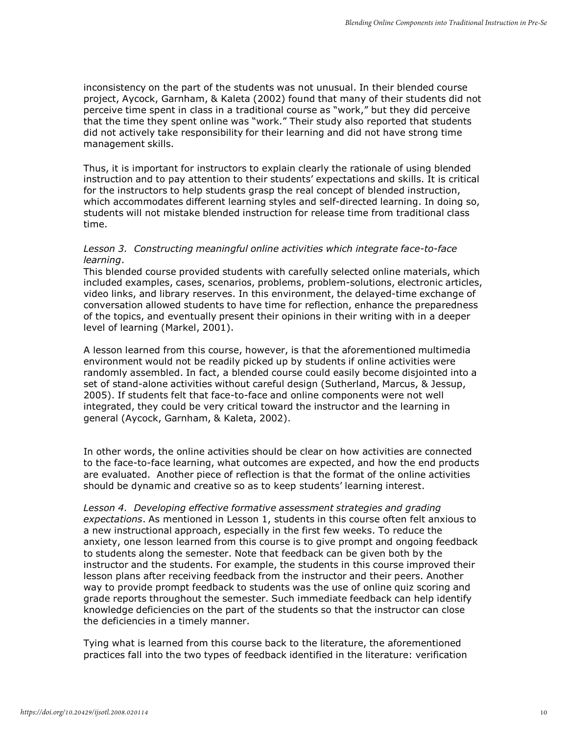inconsistency on the part of the students was not unusual. In their blended course project, Aycock, Garnham, & Kaleta (2002) found that many of their students did not perceive time spent in class in a traditional course as "work," but they did perceive that the time they spent online was "work." Their study also reported that students did not actively take responsibility for their learning and did not have strong time management skills.

Thus, it is important for instructors to explain clearly the rationale of using blended instruction and to pay attention to their students' expectations and skills. It is critical for the instructors to help students grasp the real concept of blended instruction, which accommodates different learning styles and self-directed learning. In doing so, students will not mistake blended instruction for release time from traditional class time.

#### *Lesson 3. Constructing meaningful online activities which integrate face-to-face learning*.

This blended course provided students with carefully selected online materials, which included examples, cases, scenarios, problems, problem-solutions, electronic articles, video links, and library reserves. In this environment, the delayed-time exchange of conversation allowed students to have time for reflection, enhance the preparedness of the topics, and eventually present their opinions in their writing with in a deeper level of learning (Markel, 2001).

A lesson learned from this course, however, is that the aforementioned multimedia environment would not be readily picked up by students if online activities were randomly assembled. In fact, a blended course could easily become disjointed into a set of stand-alone activities without careful design (Sutherland, Marcus, & Jessup, 2005). If students felt that face-to-face and online components were not well integrated, they could be very critical toward the instructor and the learning in general (Aycock, Garnham, & Kaleta, 2002).

In other words, the online activities should be clear on how activities are connected to the face-to-face learning, what outcomes are expected, and how the end products are evaluated. Another piece of reflection is that the format of the online activities should be dynamic and creative so as to keep students' learning interest.

Lesson 4. Developing effective formative assessment strategies and grading *expectations*. As mentioned in Lesson 1, students in this course often felt anxious to a new instructional approach, especially in the first few weeks. To reduce the anxiety, one lesson learned from this course is to give prompt and ongoing feedback to students along the semester. Note that feedback can be given both by the instructor and the students. For example, the students in this course improved their lesson plans after receiving feedback from the instructor and their peers. Another way to provide prompt feedback to students was the use of online quiz scoring and grade reports throughout the semester. Such immediate feedback can help identify knowledge deficiencies on the part of the students so that the instructor can close the deficiencies in a timely manner.

Tying what is learned from this course back to the literature, the aforementioned practices fall into the two types of feedback identified in the literature: verification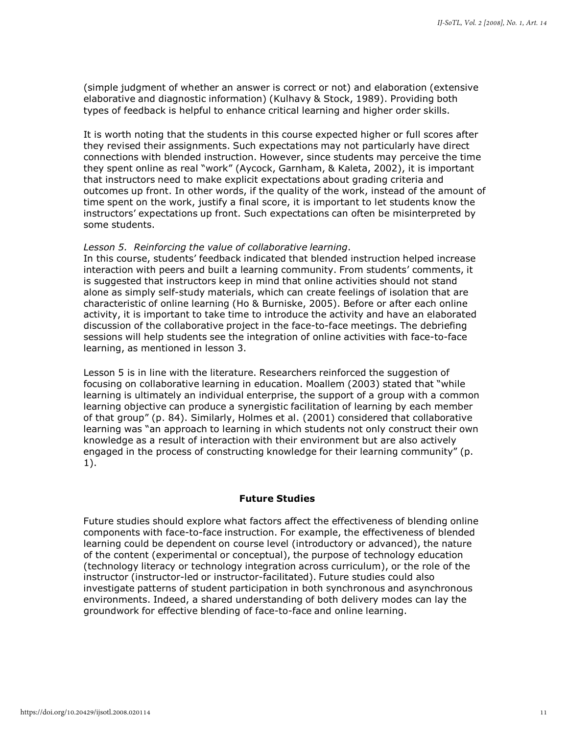(simple judgment of whether an answer is correct or not) and elaboration (extensive elaborative and diagnostic information) (Kulhavy & Stock, 1989). Providing both types of feedback is helpful to enhance critical learning and higher order skills.

It is worth noting that the students in this course expected higher or full scores after they revised their assignments. Such expectations may not particularly have direct connections with blended instruction. However, since students may perceive the time they spent online as real "work" (Aycock, Garnham, & Kaleta, 2002), it is important that instructors need to make explicit expectations about grading criteria and outcomes up front. In other words, if the quality of the work, instead of the amount of time spent on the work, justify a final score, it is important to let students know the instructors' expectations up front. Such expectations can often be misinterpreted by some students.

#### *Lesson 5. Reinforcing the value of collaborative learning*.

In this course, students' feedback indicated that blended instruction helped increase interaction with peers and built a learning community. From students' comments, it is suggested that instructors keep in mind that online activities should not stand alone as simply self-study materials, which can create feelings of isolation that are characteristic of online learning (Ho & Burniske, 2005). Before or after each online activity, it is important to take time to introduce the activity and have an elaborated discussion of the collaborative project in the face-to-face meetings. The debriefing sessions will help students see the integration of online activities with face-to-face learning, as mentioned in lesson 3.

Lesson 5 is in line with the literature. Researchers reinforced the suggestion of focusing on collaborative learning in education. Moallem (2003) stated that "while learning is ultimately an individual enterprise, the support of a group with a common learning objective can produce a synergistic facilitation of learning by each member of that group" (p. 84). Similarly, Holmes et al. (2001) considered that collaborative learning was "an approach to learning in which students not only construct their own knowledge as a result of interaction with their environment but are also actively engaged in the process of constructing knowledge for their learning community" (p. 1).

#### **Future Studies**

Future studies should explore what factors affect the effectiveness of blending online components with face-to-face instruction. For example, the effectiveness of blended learning could be dependent on course level (introductory or advanced), the nature of the content (experimental or conceptual), the purpose of technology education (technology literacy or technology integration across curriculum), or the role of the instructor (instructor-led or instructor-facilitated). Future studies could also investigate patterns of student participation in both synchronous and asynchronous environments. Indeed, a shared understanding of both delivery modes can lay the groundwork for effective blending of face-to-face and online learning.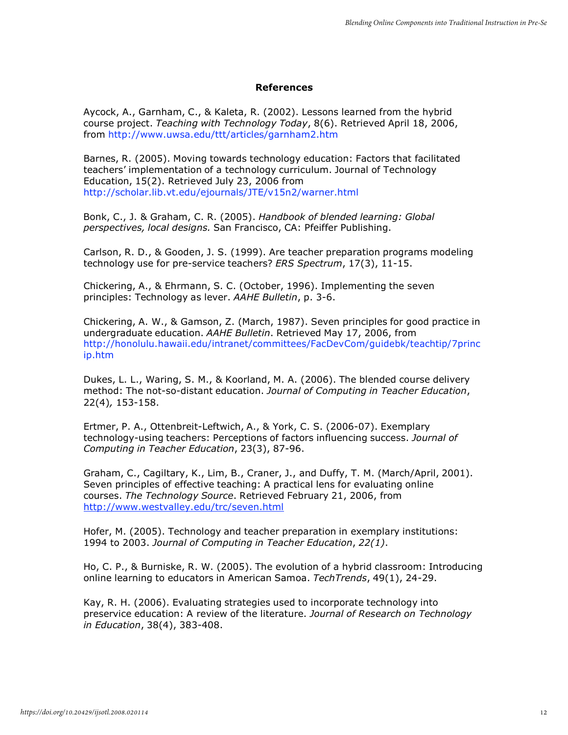#### **References**

Aycock, A., Garnham, C., & Kaleta, R. (2002). Lessons learned from the hybrid course project. *Teaching with Technology Today*, 8(6). Retrieved April 18, 2006, from<http://www.uwsa.edu/ttt/articles/garnham2.htm>

Barnes, R. (2005). Moving towards technology education: Factors that facilitated teachers' implementation of a technology curriculum. Journal of Technology Education, 15(2). Retrieved July 23, 2006 from <http://scholar.lib.vt.edu/ejournals/JTE/v15n2/warner.html>

Bonk, C., J. & Graham, C. R. (2005). *Handbook of blended learning: Global perspectives, local designs.* San Francisco, CA: Pfeiffer Publishing.

Carlson, R. D., & Gooden, J. S. (1999). Are teacher preparation programs modeling technology use for pre-service teachers? *ERS Spectrum*, 17(3), 11-15.

Chickering, A., & Ehrmann, S. C. (October, 1996). Implementing the seven principles: Technology as lever. *AAHE Bulletin*, p. 3-6.

Chickering, A. W., & Gamson, Z. (March, 1987). Seven principles for good practice in undergraduate education. *AAHE Bulletin*. Retrieved May 17, 2006, from <http://honolulu.hawaii.edu/intranet/committees/FacDevCom/guidebk/teachtip/7princ> ip.htm

Dukes, L. L., Waring, S. M., & Koorland, M. A. (2006). The blended course delivery method: The not-so-distant education. *Journal of Computing in Teacher Education*, 22(4)*,* 153-158.

Ertmer, P. A., Ottenbreit-Leftwich, A., & York, C. S. (2006-07). Exemplary technology-using teachers: Perceptions of factors influencing success. *Journal of Computing in Teacher Education*, 23(3), 87-96.

Graham, C., Cagiltary, K., Lim, B., Craner, J., and Duffy, T. M. (March/April, 2001). Seven principles of effective teaching: A practical lens for evaluating online courses. *The Technology Source*. Retrieved February 21, 2006, from <http://www.westvalley.edu/trc/seven.html>

Hofer, M. (2005). Technology and teacher preparation in exemplary institutions: 1994 to 2003. *Journal of Computing in Teacher Education*, *22(1)*.

Ho, C. P., & Burniske, R. W. (2005). The evolution of a hybrid classroom: Introducing online learning to educators in American Samoa. *TechTrends*, 49(1), 24-29.

Kay, R. H. (2006). Evaluating strategies used to incorporate technology into preservice education: A review of the literature. *Journal of Research on Technology in Education*, 38(4), 383-408.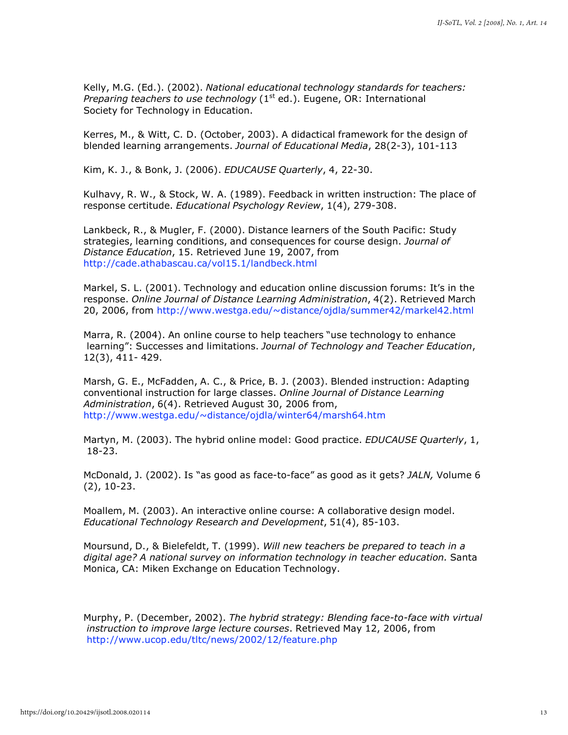Kelly, M.G. (Ed.). (2002). *National educational technology standards for teachers: Preparing teachers to use technology* (1<sup>st</sup> ed.). Eugene, OR: International Society for Technology in Education.

Kerres, M., & Witt, C. D. (October, 2003). A didactical framework for the design of blended learning arrangements. *Journal of Educational Media*, 28(2-3), 101-113

Kim, K. J., & Bonk, J. (2006). *EDUCAUSE Quarterly*, 4, 22-30.

Kulhavy, R. W., & Stock, W. A. (1989). Feedback in written instruction: The place of response certitude. *Educational Psychology Review*, 1(4), 279-308.

Lankbeck, R., & Mugler, F. (2000). Distance learners of the South Pacific: Study strategies, learning conditions, and consequences for course design. *Journal of Distance Education*, 15. Retrieved June 19, 2007, from <http://cade.athabascau.ca/vol15.1/landbeck.html>

Markel, S. L. (2001). Technology and education online discussion forums: It's in the response. *Online Journal of Distance Learning Administration*, 4(2). Retrieved March 20, 2006, from<http://www.westga.edu/~distance/ojdla/summer42/markel42.html>

Marra, R. (2004). An online course to help teachers "use technology to enhance learning": Successes and limitations. *Journal of Technology and Teacher Education*, 12(3), 411- 429.

Marsh, G. E., McFadden, A. C., & Price, B. J. (2003). Blended instruction: Adapting conventional instruction for large classes. *Online Journal of Distance Learning Administration*, 6(4). Retrieved August 30, 2006 from, <http://www.westga.edu/~distance/ojdla/winter64/marsh64.htm>

Martyn, M. (2003). The hybrid online model: Good practice. *EDUCAUSE Quarterly*, 1, 18-23.

McDonald, J. (2002). Is "as good as face-to-face" as good as it gets? *JALN,* Volume 6 (2), 10-23.

Moallem, M. (2003). An interactive online course: A collaborative design model. *Educational Technology Research and Development*, 51(4), 85-103.

Moursund, D., & Bielefeldt, T. (1999). *Will new teachers be prepared to teach in a digital age? A national survey on information technology in teacher education.* Santa Monica, CA: Miken Exchange on Education Technology.

Murphy, P. (December, 2002). *The hybrid strategy: Blending face-to-face with virtual instruction to improve large lecture courses*. Retrieved May 12, 2006, from <http://www.ucop.edu/tltc/news/2002/12/feature.php>